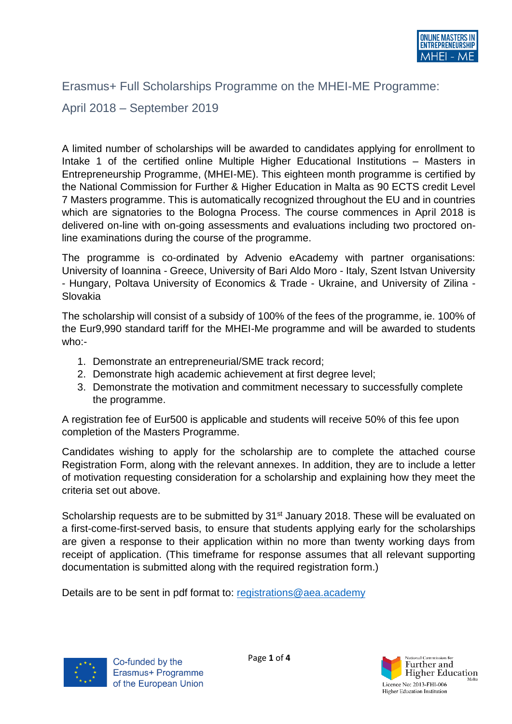

## Erasmus+ Full Scholarships Programme on the MHEI-ME Programme:

## April 2018 – September 2019

A limited number of scholarships will be awarded to candidates applying for enrollment to Intake 1 of the certified online Multiple Higher Educational Institutions – Masters in Entrepreneurship Programme, (MHEI-ME). This eighteen month programme is certified by the National Commission for Further & Higher Education in Malta as 90 ECTS credit Level 7 Masters programme. This is automatically recognized throughout the EU and in countries which are signatories to the Bologna Process. The course commences in April 2018 is delivered on-line with on-going assessments and evaluations including two proctored online examinations during the course of the programme.

The programme is co-ordinated by Advenio eAcademy with partner organisations: University of Ioannina - Greece, University of Bari Aldo Moro - Italy, Szent Istvan University - Hungary, Poltava University of Economics & Trade - Ukraine, and University of Zilina - Slovakia

The scholarship will consist of a subsidy of 100% of the fees of the programme, ie. 100% of the Eur9,990 standard tariff for the MHEI-Me programme and will be awarded to students who:-

- 1. Demonstrate an entrepreneurial/SME track record;
- 2. Demonstrate high academic achievement at first degree level;
- 3. Demonstrate the motivation and commitment necessary to successfully complete the programme.

A registration fee of Eur500 is applicable and students will receive 50% of this fee upon completion of the Masters Programme.

Candidates wishing to apply for the scholarship are to complete the attached course Registration Form, along with the relevant annexes. In addition, they are to include a letter of motivation requesting consideration for a scholarship and explaining how they meet the criteria set out above.

Scholarship requests are to be submitted by 31<sup>st</sup> January 2018. These will be evaluated on a first-come-first-served basis, to ensure that students applying early for the scholarships are given a response to their application within no more than twenty working days from receipt of application. (This timeframe for response assumes that all relevant supporting documentation is submitted along with the required registration form.)

Details are to be sent in pdf format to: [registrations@aea.academy](mailto:registrations@aea.academy)



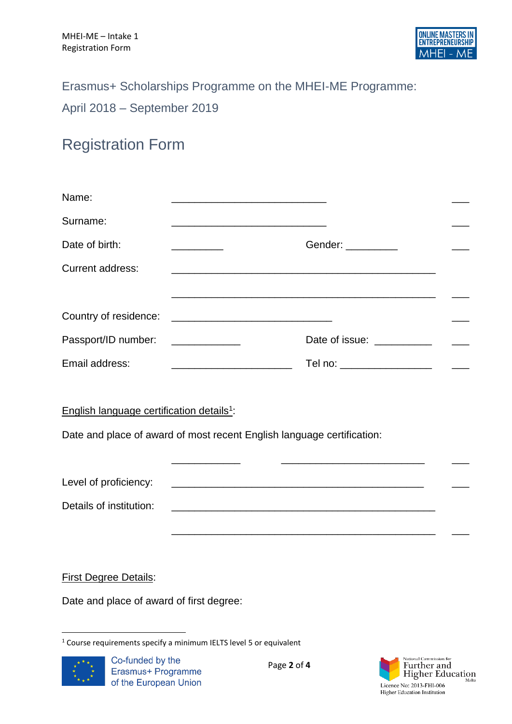## Erasmus+ Scholarships Programme on the MHEI-ME Programme:

April 2018 – September 2019

## Registration Form

| Name:                                                 | the control of the control of the control of the control of the control of the control of |                                                                                                                       |  |
|-------------------------------------------------------|-------------------------------------------------------------------------------------------|-----------------------------------------------------------------------------------------------------------------------|--|
| Surname:                                              |                                                                                           |                                                                                                                       |  |
| Date of birth:                                        |                                                                                           | Gender: __________                                                                                                    |  |
| <b>Current address:</b>                               |                                                                                           |                                                                                                                       |  |
|                                                       |                                                                                           |                                                                                                                       |  |
| Country of residence:                                 |                                                                                           |                                                                                                                       |  |
| Passport/ID number:                                   |                                                                                           | Date of issue: ___________                                                                                            |  |
| Email address:                                        | <u> 2000 - Jan James James Barbara, menyebara</u>                                         | Tel no: __________________<br>$\sim$ $-$                                                                              |  |
|                                                       |                                                                                           |                                                                                                                       |  |
| English language certification details <sup>1</sup> : |                                                                                           |                                                                                                                       |  |
|                                                       | Date and place of award of most recent English language certification:                    |                                                                                                                       |  |
|                                                       |                                                                                           | <u> 1989 - Johann John Stone, markin film yn y brening yn y brening yn y brening yn y brening yn y brening yn y b</u> |  |
| Level of proficiency:                                 |                                                                                           |                                                                                                                       |  |
| Details of institution:                               |                                                                                           | <u> 1989 - Johann Stoff, amerikansk politiker (d. 1989)</u>                                                           |  |
|                                                       |                                                                                           |                                                                                                                       |  |
|                                                       |                                                                                           |                                                                                                                       |  |

First Degree Details:

Date and place of award of first degree:

<sup>1</sup> <sup>1</sup> Course requirements specify a minimum IELTS level 5 or equivalent



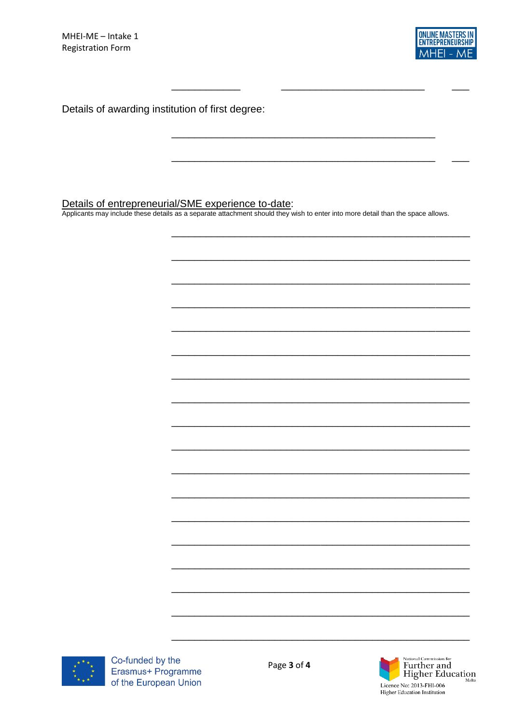

Details of awarding institution of first degree:

Details of entrepreneurial/SME experience to-date:<br>Applicants may include these details as a separate attachment should they wish to enter into more detail than the space allows.



Co-funded by the Erasmus+ Programme of the European Union

Page 3 of 4